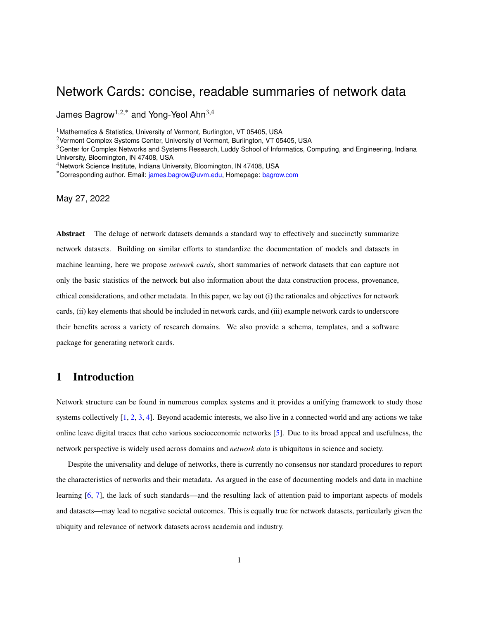# <span id="page-0-0"></span>Network Cards: concise, readable summaries of network data

James Bagrow<sup>1,2,\*</sup> and Yong-Yeol Ahn<sup>3,4</sup>

<sup>1</sup> Mathematics & Statistics, University of Vermont, Burlington, VT 05405, USA

<sup>2</sup>Vermont Complex Systems Center, University of Vermont, Burlington, VT 05405, USA

<sup>3</sup>Center for Complex Networks and Systems Research, Luddy School of Informatics, Computing, and Engineering, Indiana University, Bloomington, IN 47408, USA

<sup>4</sup>Network Science Institute, Indiana University, Bloomington, IN 47408, USA

\*Corresponding author. Email: [james.bagrow@uvm.edu,](mailto:james.bagrow@uvm.edu) Homepage: [bagrow.com](http://bagrow.com)

May 27, 2022

**Abstract** The deluge of network datasets demands a standard way to effectively and succinctly summarize network datasets. Building on similar efforts to standardize the documentation of models and datasets in machine learning, here we propose *network cards*, short summaries of network datasets that can capture not only the basic statistics of the network but also information about the data construction process, provenance, ethical considerations, and other metadata. In this paper, we lay out (i) the rationales and objectives for network cards, (ii) key elements that should be included in network cards, and (iii) example network cards to underscore their benefits across a variety of research domains. We also provide a schema, templates, and a software package for generating network cards.

### **1 Introduction**

Network structure can be found in numerous complex systems and it provides a unifying framework to study those systems collectively [\[1,](#page-14-0) [2,](#page-14-1) [3,](#page-14-2) [4\]](#page-14-3). Beyond academic interests, we also live in a connected world and any actions we take online leave digital traces that echo various socioeconomic networks [\[5\]](#page-14-4). Due to its broad appeal and usefulness, the network perspective is widely used across domains and *network data* is ubiquitous in science and society.

Despite the universality and deluge of networks, there is currently no consensus nor standard procedures to report the characteristics of networks and their metadata. As argued in the case of documenting models and data in machine learning [\[6,](#page-14-5) [7\]](#page-14-6), the lack of such standards—and the resulting lack of attention paid to important aspects of models and datasets—may lead to negative societal outcomes. This is equally true for network datasets, particularly given the ubiquity and relevance of network datasets across academia and industry.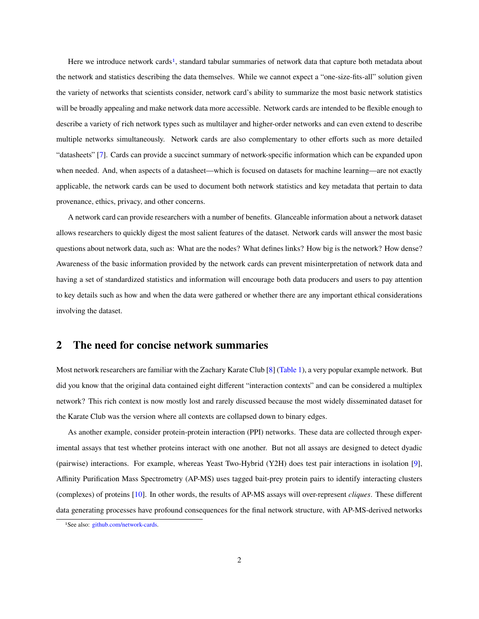<span id="page-1-1"></span>Here we introduce network cards<sup>[1](#page-1-0)</sup>, standard tabular summaries of network data that capture both metadata about the network and statistics describing the data themselves. While we cannot expect a "one-size-fits-all" solution given the variety of networks that scientists consider, network card's ability to summarize the most basic network statistics will be broadly appealing and make network data more accessible. Network cards are intended to be flexible enough to describe a variety of rich network types such as multilayer and higher-order networks and can even extend to describe multiple networks simultaneously. Network cards are also complementary to other efforts such as more detailed "datasheets" [\[7\]](#page-14-6). Cards can provide a succinct summary of network-specific information which can be expanded upon when needed. And, when aspects of a datasheet—which is focused on datasets for machine learning—are not exactly applicable, the network cards can be used to document both network statistics and key metadata that pertain to data provenance, ethics, privacy, and other concerns.

A network card can provide researchers with a number of benefits. Glanceable information about a network dataset allows researchers to quickly digest the most salient features of the dataset. Network cards will answer the most basic questions about network data, such as: What are the nodes? What defines links? How big is the network? How dense? Awareness of the basic information provided by the network cards can prevent misinterpretation of network data and having a set of standardized statistics and information will encourage both data producers and users to pay attention to key details such as how and when the data were gathered or whether there are any important ethical considerations involving the dataset.

### **2 The need for concise network summaries**

Most network researchers are familiar with the Zachary Karate Club [\[8\]](#page-14-7) [\(Table 1\)](#page-2-0), a very popular example network. But did you know that the original data contained eight different "interaction contexts" and can be considered a multiplex network? This rich context is now mostly lost and rarely discussed because the most widely disseminated dataset for the Karate Club was the version where all contexts are collapsed down to binary edges.

As another example, consider protein-protein interaction (PPI) networks. These data are collected through experimental assays that test whether proteins interact with one another. But not all assays are designed to detect dyadic (pairwise) interactions. For example, whereas Yeast Two-Hybrid (Y2H) does test pair interactions in isolation [\[9\]](#page-14-8), Affinity Purification Mass Spectrometry (AP-MS) uses tagged bait-prey protein pairs to identify interacting clusters (complexes) of proteins [\[10\]](#page-14-9). In other words, the results of AP-MS assays will over-represent *cliques*. These different data generating processes have profound consequences for the final network structure, with AP-MS-derived networks

<span id="page-1-0"></span><sup>1</sup>See also: [github.com/network-cards.](https://github.com/network-cards/network-cards)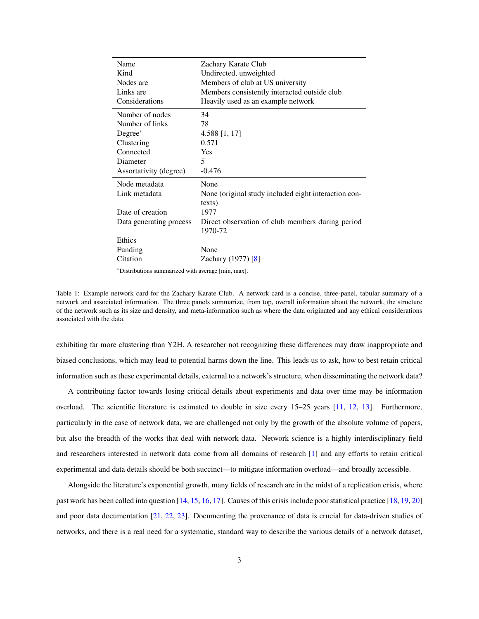<span id="page-2-1"></span><span id="page-2-0"></span>

| Name                                                                          | Zachary Karate Club                                                                                                                           |
|-------------------------------------------------------------------------------|-----------------------------------------------------------------------------------------------------------------------------------------------|
| Kind                                                                          | Undirected, unweighted                                                                                                                        |
| Nodes are                                                                     | Members of club at US university                                                                                                              |
| Links are                                                                     | Members consistently interacted outside club                                                                                                  |
| Considerations                                                                | Heavily used as an example network                                                                                                            |
| Number of nodes                                                               | 34                                                                                                                                            |
| Number of links                                                               | 78                                                                                                                                            |
| $Degree^*$                                                                    | $4.588$ [1, 17]                                                                                                                               |
| Clustering                                                                    | 0.571                                                                                                                                         |
| Connected                                                                     | <b>Yes</b>                                                                                                                                    |
| Diameter                                                                      | 5                                                                                                                                             |
| Assortativity (degree)                                                        | $-0.476$                                                                                                                                      |
| Node metadata<br>Link metadata<br>Date of creation<br>Data generating process | None<br>None (original study included eight interaction con-<br>texts)<br>1977<br>Direct observation of club members during period<br>1970-72 |
| Ethics<br>Funding<br>Citation                                                 | None<br>Zachary $(1977)$ [8]                                                                                                                  |

Table 1: Example network card for the Zachary Karate Club. A network card is a concise, three-panel, tabular summary of a network and associated information. The three panels summarize, from top, overall information about the network, the structure of the network such as its size and density, and meta-information such as where the data originated and any ethical considerations associated with the data.

exhibiting far more clustering than Y2H. A researcher not recognizing these differences may draw inappropriate and biased conclusions, which may lead to potential harms down the line. This leads us to ask, how to best retain critical information such as these experimental details, external to a network's structure, when disseminating the network data?

A contributing factor towards losing critical details about experiments and data over time may be information overload. The scientific literature is estimated to double in size every 15–25 years [\[11,](#page-14-10) [12,](#page-14-11) [13\]](#page-14-12). Furthermore, particularly in the case of network data, we are challenged not only by the growth of the absolute volume of papers, but also the breadth of the works that deal with network data. Network science is a highly interdisciplinary field and researchers interested in network data come from all domains of research [\[1\]](#page-14-0) and any efforts to retain critical experimental and data details should be both succinct—to mitigate information overload—and broadly accessible.

Alongside the literature's exponential growth, many fields of research are in the midst of a replication crisis, where past work has been called into question [\[14,](#page-15-0) [15,](#page-15-1) [16,](#page-15-2) [17\]](#page-15-3). Causes of this crisis include poor statistical practice [\[18,](#page-15-4) [19,](#page-15-5) [20\]](#page-15-6) and poor data documentation [\[21,](#page-15-7) [22,](#page-15-8) [23\]](#page-15-9). Documenting the provenance of data is crucial for data-driven studies of networks, and there is a real need for a systematic, standard way to describe the various details of a network dataset,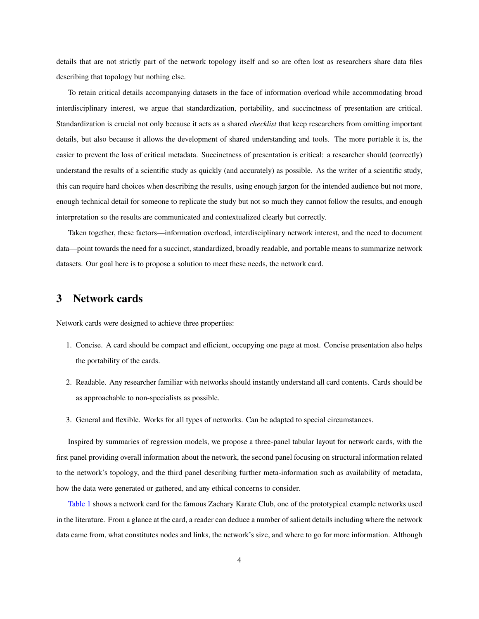details that are not strictly part of the network topology itself and so are often lost as researchers share data files describing that topology but nothing else.

To retain critical details accompanying datasets in the face of information overload while accommodating broad interdisciplinary interest, we argue that standardization, portability, and succinctness of presentation are critical. Standardization is crucial not only because it acts as a shared *checklist* that keep researchers from omitting important details, but also because it allows the development of shared understanding and tools. The more portable it is, the easier to prevent the loss of critical metadata. Succinctness of presentation is critical: a researcher should (correctly) understand the results of a scientific study as quickly (and accurately) as possible. As the writer of a scientific study, this can require hard choices when describing the results, using enough jargon for the intended audience but not more, enough technical detail for someone to replicate the study but not so much they cannot follow the results, and enough interpretation so the results are communicated and contextualized clearly but correctly.

Taken together, these factors—information overload, interdisciplinary network interest, and the need to document data—point towards the need for a succinct, standardized, broadly readable, and portable means to summarize network datasets. Our goal here is to propose a solution to meet these needs, the network card.

## **3 Network cards**

Network cards were designed to achieve three properties:

- 1. Concise. A card should be compact and efficient, occupying one page at most. Concise presentation also helps the portability of the cards.
- 2. Readable. Any researcher familiar with networks should instantly understand all card contents. Cards should be as approachable to non-specialists as possible.
- 3. General and flexible. Works for all types of networks. Can be adapted to special circumstances.

Inspired by summaries of regression models, we propose a three-panel tabular layout for network cards, with the first panel providing overall information about the network, the second panel focusing on structural information related to the network's topology, and the third panel describing further meta-information such as availability of metadata, how the data were generated or gathered, and any ethical concerns to consider.

[Table 1](#page-2-0) shows a network card for the famous Zachary Karate Club, one of the prototypical example networks used in the literature. From a glance at the card, a reader can deduce a number of salient details including where the network data came from, what constitutes nodes and links, the network's size, and where to go for more information. Although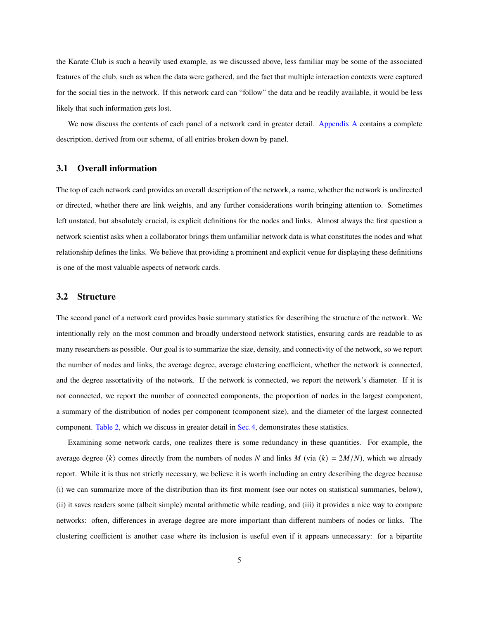the Karate Club is such a heavily used example, as we discussed above, less familiar may be some of the associated features of the club, such as when the data were gathered, and the fact that multiple interaction contexts were captured for the social ties in the network. If this network card can "follow" the data and be readily available, it would be less likely that such information gets lost.

We now discuss the contents of each panel of a network card in greater detail. [Appendix A](#page-13-0) contains a complete description, derived from our schema, of all entries broken down by panel.

#### **3.1 Overall information**

The top of each network card provides an overall description of the network, a name, whether the network is undirected or directed, whether there are link weights, and any further considerations worth bringing attention to. Sometimes left unstated, but absolutely crucial, is explicit definitions for the nodes and links. Almost always the first question a network scientist asks when a collaborator brings them unfamiliar network data is what constitutes the nodes and what relationship defines the links. We believe that providing a prominent and explicit venue for displaying these definitions is one of the most valuable aspects of network cards.

#### **3.2 Structure**

The second panel of a network card provides basic summary statistics for describing the structure of the network. We intentionally rely on the most common and broadly understood network statistics, ensuring cards are readable to as many researchers as possible. Our goal is to summarize the size, density, and connectivity of the network, so we report the number of nodes and links, the average degree, average clustering coefficient, whether the network is connected, and the degree assortativity of the network. If the network is connected, we report the network's diameter. If it is not connected, we report the number of connected components, the proportion of nodes in the largest component, a summary of the distribution of nodes per component (component size), and the diameter of the largest connected component. [Table 2,](#page-5-0) which we discuss in greater detail in [Sec.4,](#page-9-0) demonstrates these statistics.

Examining some network cards, one realizes there is some redundancy in these quantities. For example, the average degree  $\langle k \rangle$  comes directly from the numbers of nodes N and links M (via  $\langle k \rangle = 2M/N$ ), which we already report. While it is thus not strictly necessary, we believe it is worth including an entry describing the degree because (i) we can summarize more of the distribution than its first moment (see our notes on statistical summaries, below), (ii) it saves readers some (albeit simple) mental arithmetic while reading, and (iii) it provides a nice way to compare networks: often, differences in average degree are more important than different numbers of nodes or links. The clustering coefficient is another case where its inclusion is useful even if it appears unnecessary: for a bipartite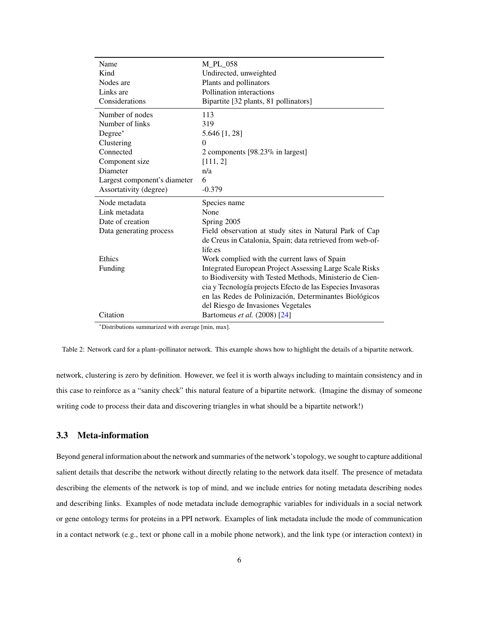<span id="page-5-0"></span>

| Name                         | M PL 058                                                       |  |  |  |
|------------------------------|----------------------------------------------------------------|--|--|--|
| Kind                         | Undirected, unweighted                                         |  |  |  |
| Nodes are                    | Plants and pollinators                                         |  |  |  |
| Links are                    | Pollination interactions                                       |  |  |  |
| Considerations               | Bipartite [32 plants, 81 pollinators]                          |  |  |  |
| Number of nodes              | 113                                                            |  |  |  |
| Number of links              | 319                                                            |  |  |  |
| Degree*                      | 5.646 [1, 28]                                                  |  |  |  |
| Clustering                   | $\theta$                                                       |  |  |  |
| Connected                    | 2 components [98.23% in largest]                               |  |  |  |
| Component size               | [111, 2]                                                       |  |  |  |
| Diameter                     | n/a                                                            |  |  |  |
| Largest component's diameter | 6                                                              |  |  |  |
| Assortativity (degree)       | $-0.379$                                                       |  |  |  |
| Node metadata                | Species name                                                   |  |  |  |
| Link metadata                | None                                                           |  |  |  |
| Date of creation             | Spring 2005                                                    |  |  |  |
| Data generating process      | Field observation at study sites in Natural Park of Cap        |  |  |  |
|                              | de Creus in Catalonia, Spain; data retrieved from web-of-      |  |  |  |
|                              | life.es                                                        |  |  |  |
| Ethics                       | Work complied with the current laws of Spain                   |  |  |  |
| Funding                      | <b>Integrated European Project Assessing Large Scale Risks</b> |  |  |  |
|                              | to Biodiversity with Tested Methods, Ministerio de Cien-       |  |  |  |
|                              | cia y Tecnología projects Efecto de las Especies Invasoras     |  |  |  |
|                              | en las Redes de Polinización, Determinantes Biológicos         |  |  |  |
|                              | del Riesgo de Invasiones Vegetales                             |  |  |  |
| Citation                     | Bartomeus et al. (2008) [24]                                   |  |  |  |

Table 2: Network card for a plant–pollinator network. This example shows how to highlight the details of a bipartite network.

network, clustering is zero by definition. However, we feel it is worth always including to maintain consistency and in this case to reinforce as a "sanity check" this natural feature of a bipartite network. (Imagine the dismay of someone writing code to process their data and discovering triangles in what should be a bipartite network!)

### **3.3 Meta-information**

Beyond general information about the network and summaries of the network's topology, we sought to capture additional salient details that describe the network without directly relating to the network data itself. The presence of metadata describing the elements of the network is top of mind, and we include entries for noting metadata describing nodes and describing links. Examples of node metadata include demographic variables for individuals in a social network or gene ontology terms for proteins in a PPI network. Examples of link metadata include the mode of communication in a contact network (e.g., text or phone call in a mobile phone network), and the link type (or interaction context) in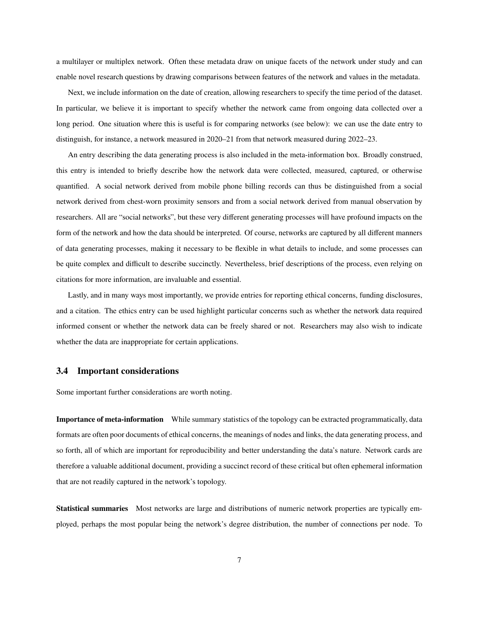a multilayer or multiplex network. Often these metadata draw on unique facets of the network under study and can enable novel research questions by drawing comparisons between features of the network and values in the metadata.

Next, we include information on the date of creation, allowing researchers to specify the time period of the dataset. In particular, we believe it is important to specify whether the network came from ongoing data collected over a long period. One situation where this is useful is for comparing networks (see below): we can use the date entry to distinguish, for instance, a network measured in 2020–21 from that network measured during 2022–23.

An entry describing the data generating process is also included in the meta-information box. Broadly construed, this entry is intended to briefly describe how the network data were collected, measured, captured, or otherwise quantified. A social network derived from mobile phone billing records can thus be distinguished from a social network derived from chest-worn proximity sensors and from a social network derived from manual observation by researchers. All are "social networks", but these very different generating processes will have profound impacts on the form of the network and how the data should be interpreted. Of course, networks are captured by all different manners of data generating processes, making it necessary to be flexible in what details to include, and some processes can be quite complex and difficult to describe succinctly. Nevertheless, brief descriptions of the process, even relying on citations for more information, are invaluable and essential.

Lastly, and in many ways most importantly, we provide entries for reporting ethical concerns, funding disclosures, and a citation. The ethics entry can be used highlight particular concerns such as whether the network data required informed consent or whether the network data can be freely shared or not. Researchers may also wish to indicate whether the data are inappropriate for certain applications.

#### **3.4 Important considerations**

Some important further considerations are worth noting.

**Importance of meta-information** While summary statistics of the topology can be extracted programmatically, data formats are often poor documents of ethical concerns, the meanings of nodes and links, the data generating process, and so forth, all of which are important for reproducibility and better understanding the data's nature. Network cards are therefore a valuable additional document, providing a succinct record of these critical but often ephemeral information that are not readily captured in the network's topology.

**Statistical summaries** Most networks are large and distributions of numeric network properties are typically employed, perhaps the most popular being the network's degree distribution, the number of connections per node. To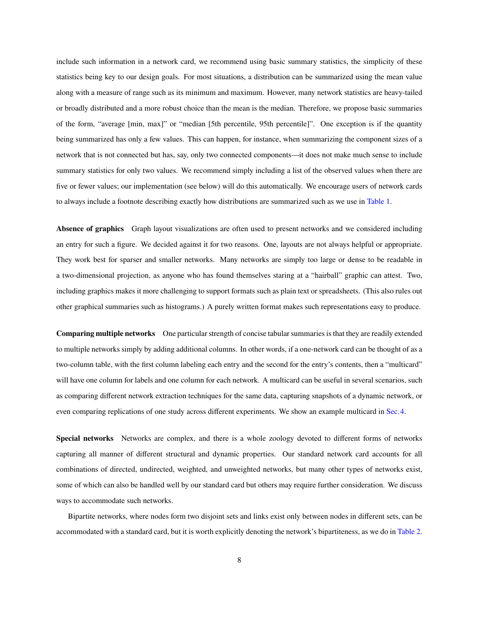include such information in a network card, we recommend using basic summary statistics, the simplicity of these statistics being key to our design goals. For most situations, a distribution can be summarized using the mean value along with a measure of range such as its minimum and maximum. However, many network statistics are heavy-tailed or broadly distributed and a more robust choice than the mean is the median. Therefore, we propose basic summaries of the form, "average [min, max]" or "median [5th percentile, 95th percentile]". One exception is if the quantity being summarized has only a few values. This can happen, for instance, when summarizing the component sizes of a network that is not connected but has, say, only two connected components—it does not make much sense to include summary statistics for only two values. We recommend simply including a list of the observed values when there are five or fewer values; our implementation (see below) will do this automatically. We encourage users of network cards to always include a footnote describing exactly how distributions are summarized such as we use in [Table 1.](#page-2-0)

**Absence of graphics** Graph layout visualizations are often used to present networks and we considered including an entry for such a figure. We decided against it for two reasons. One, layouts are not always helpful or appropriate. They work best for sparser and smaller networks. Many networks are simply too large or dense to be readable in a two-dimensional projection, as anyone who has found themselves staring at a "hairball" graphic can attest. Two, including graphics makes it more challenging to support formats such as plain text or spreadsheets. (This also rules out other graphical summaries such as histograms.) A purely written format makes such representations easy to produce.

**Comparing multiple networks** One particular strength of concise tabular summaries is that they are readily extended to multiple networks simply by adding additional columns. In other words, if a one-network card can be thought of as a two-column table, with the first column labeling each entry and the second for the entry's contents, then a "multicard" will have one column for labels and one column for each network. A multicard can be useful in several scenarios, such as comparing different network extraction techniques for the same data, capturing snapshots of a dynamic network, or even comparing replications of one study across different experiments. We show an example multicard in [Sec.4.](#page-9-0)

**Special networks** Networks are complex, and there is a whole zoology devoted to different forms of networks capturing all manner of different structural and dynamic properties. Our standard network card accounts for all combinations of directed, undirected, weighted, and unweighted networks, but many other types of networks exist, some of which can also be handled well by our standard card but others may require further consideration. We discuss ways to accommodate such networks.

Bipartite networks, where nodes form two disjoint sets and links exist only between nodes in different sets, can be accommodated with a standard card, but it is worth explicitly denoting the network's bipartiteness, as we do in [Table 2.](#page-5-0)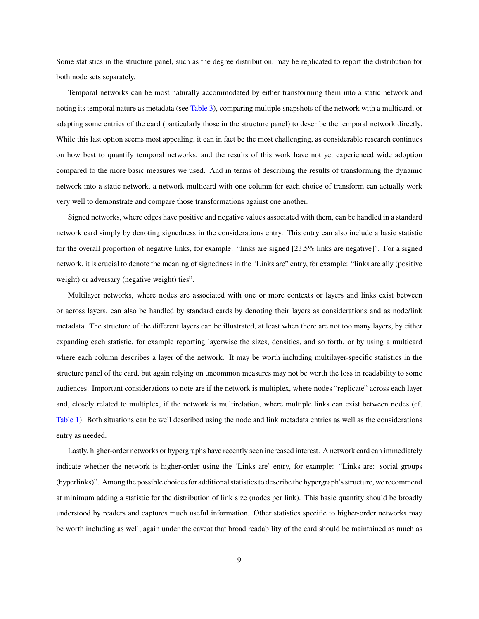Some statistics in the structure panel, such as the degree distribution, may be replicated to report the distribution for both node sets separately.

Temporal networks can be most naturally accommodated by either transforming them into a static network and noting its temporal nature as metadata (see [Table 3\)](#page-10-0), comparing multiple snapshots of the network with a multicard, or adapting some entries of the card (particularly those in the structure panel) to describe the temporal network directly. While this last option seems most appealing, it can in fact be the most challenging, as considerable research continues on how best to quantify temporal networks, and the results of this work have not yet experienced wide adoption compared to the more basic measures we used. And in terms of describing the results of transforming the dynamic network into a static network, a network multicard with one column for each choice of transform can actually work very well to demonstrate and compare those transformations against one another.

Signed networks, where edges have positive and negative values associated with them, can be handled in a standard network card simply by denoting signedness in the considerations entry. This entry can also include a basic statistic for the overall proportion of negative links, for example: "links are signed [23.5% links are negative]". For a signed network, it is crucial to denote the meaning of signedness in the "Links are" entry, for example: "links are ally (positive weight) or adversary (negative weight) ties".

Multilayer networks, where nodes are associated with one or more contexts or layers and links exist between or across layers, can also be handled by standard cards by denoting their layers as considerations and as node/link metadata. The structure of the different layers can be illustrated, at least when there are not too many layers, by either expanding each statistic, for example reporting layerwise the sizes, densities, and so forth, or by using a multicard where each column describes a layer of the network. It may be worth including multilayer-specific statistics in the structure panel of the card, but again relying on uncommon measures may not be worth the loss in readability to some audiences. Important considerations to note are if the network is multiplex, where nodes "replicate" across each layer and, closely related to multiplex, if the network is multirelation, where multiple links can exist between nodes (cf. [Table 1\)](#page-2-0). Both situations can be well described using the node and link metadata entries as well as the considerations entry as needed.

Lastly, higher-order networks or hypergraphs have recently seen increased interest. A network card can immediately indicate whether the network is higher-order using the 'Links are' entry, for example: "Links are: social groups (hyperlinks)". Among the possible choices for additional statistics to describe the hypergraph's structure, we recommend at minimum adding a statistic for the distribution of link size (nodes per link). This basic quantity should be broadly understood by readers and captures much useful information. Other statistics specific to higher-order networks may be worth including as well, again under the caveat that broad readability of the card should be maintained as much as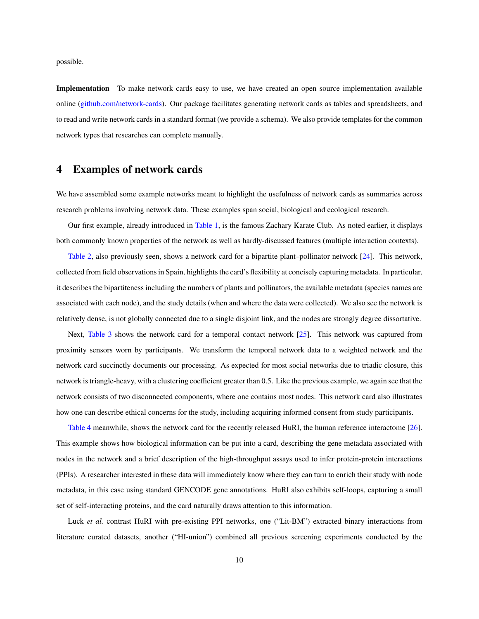<span id="page-9-1"></span>possible.

**Implementation** To make network cards easy to use, we have created an open source implementation available online [\(github.com/network-cards\)](https://github.com/network-cards/network-cards). Our package facilitates generating network cards as tables and spreadsheets, and to read and write network cards in a standard format (we provide a schema). We also provide templates for the common network types that researches can complete manually.

### <span id="page-9-0"></span>**4 Examples of network cards**

We have assembled some example networks meant to highlight the usefulness of network cards as summaries across research problems involving network data. These examples span social, biological and ecological research.

Our first example, already introduced in [Table 1,](#page-2-0) is the famous Zachary Karate Club. As noted earlier, it displays both commonly known properties of the network as well as hardly-discussed features (multiple interaction contexts).

[Table 2,](#page-5-0) also previously seen, shows a network card for a bipartite plant–pollinator network [\[24\]](#page-15-10). This network, collected from field observations in Spain, highlights the card's flexibility at concisely capturing metadata. In particular, it describes the bipartiteness including the numbers of plants and pollinators, the available metadata (species names are associated with each node), and the study details (when and where the data were collected). We also see the network is relatively dense, is not globally connected due to a single disjoint link, and the nodes are strongly degree dissortative.

Next, [Table 3](#page-10-0) shows the network card for a temporal contact network [\[25\]](#page-15-11). This network was captured from proximity sensors worn by participants. We transform the temporal network data to a weighted network and the network card succinctly documents our processing. As expected for most social networks due to triadic closure, this network is triangle-heavy, with a clustering coefficient greater than 0.5. Like the previous example, we again see that the network consists of two disconnected components, where one contains most nodes. This network card also illustrates how one can describe ethical concerns for the study, including acquiring informed consent from study participants.

[Table 4](#page-11-0) meanwhile, shows the network card for the recently released HuRI, the human reference interactome [\[26\]](#page-15-12). This example shows how biological information can be put into a card, describing the gene metadata associated with nodes in the network and a brief description of the high-throughput assays used to infer protein-protein interactions (PPIs). A researcher interested in these data will immediately know where they can turn to enrich their study with node metadata, in this case using standard GENCODE gene annotations. HuRI also exhibits self-loops, capturing a small set of self-interacting proteins, and the card naturally draws attention to this information.

Luck *et al.* contrast HuRI with pre-existing PPI networks, one ("Lit-BM") extracted binary interactions from literature curated datasets, another ("HI-union") combined all previous screening experiments conducted by the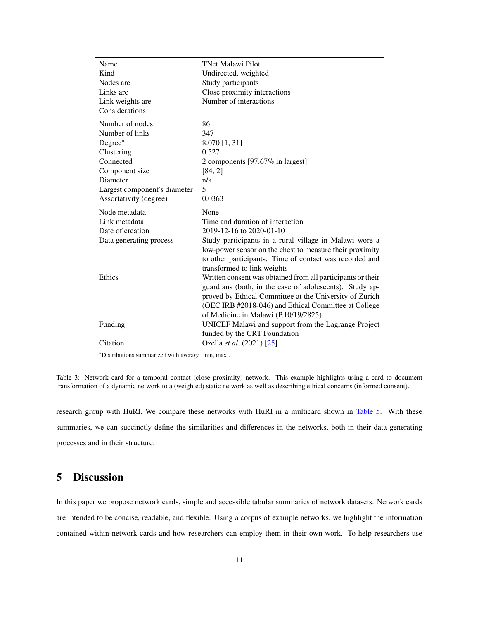<span id="page-10-0"></span>

| Name                         | <b>TNet Malawi Pilot</b>                                                                                           |
|------------------------------|--------------------------------------------------------------------------------------------------------------------|
| Kind                         | Undirected, weighted                                                                                               |
| Nodes are                    | Study participants                                                                                                 |
| Links are                    | Close proximity interactions                                                                                       |
| Link weights are             | Number of interactions                                                                                             |
| Considerations               |                                                                                                                    |
| Number of nodes              | 86                                                                                                                 |
| Number of links              | 347                                                                                                                |
| Degree*                      | 8.070 [1, 31]                                                                                                      |
| Clustering                   | 0.527                                                                                                              |
| Connected                    | 2 components $[97.67\%$ in largest]                                                                                |
| Component size               | [84, 2]                                                                                                            |
| Diameter                     | n/a                                                                                                                |
| Largest component's diameter | 5                                                                                                                  |
| Assortativity (degree)       | 0.0363                                                                                                             |
| Node metadata                | None                                                                                                               |
| Link metadata                | Time and duration of interaction                                                                                   |
| Date of creation             | 2019-12-16 to 2020-01-10                                                                                           |
| Data generating process      | Study participants in a rural village in Malawi wore a<br>low-power sensor on the chest to measure their proximity |
|                              | to other participants. Time of contact was recorded and                                                            |
|                              | transformed to link weights                                                                                        |
| Ethics                       | Written consent was obtained from all participants or their                                                        |
|                              | guardians (both, in the case of adolescents). Study ap-                                                            |
|                              | proved by Ethical Committee at the University of Zurich                                                            |
|                              | (OEC IRB #2018-046) and Ethical Committee at College                                                               |
|                              | of Medicine in Malawi (P.10/19/2825)                                                                               |
| Funding                      | UNICEF Malawi and support from the Lagrange Project                                                                |
|                              | funded by the CRT Foundation                                                                                       |
| Citation                     | Ozella et al. (2021) [25]                                                                                          |

Table 3: Network card for a temporal contact (close proximity) network. This example highlights using a card to document transformation of a dynamic network to a (weighted) static network as well as describing ethical concerns (informed consent).

research group with HuRI. We compare these networks with HuRI in a multicard shown in [Table 5.](#page-12-0) With these summaries, we can succinctly define the similarities and differences in the networks, both in their data generating processes and in their structure.

## **5 Discussion**

In this paper we propose network cards, simple and accessible tabular summaries of network datasets. Network cards are intended to be concise, readable, and flexible. Using a corpus of example networks, we highlight the information contained within network cards and how researchers can employ them in their own work. To help researchers use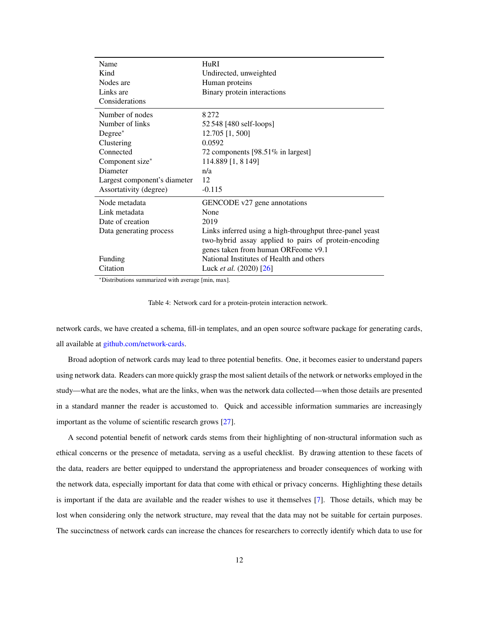<span id="page-11-1"></span><span id="page-11-0"></span>

| Name                         | H <sub>U</sub> RI                                        |  |  |  |
|------------------------------|----------------------------------------------------------|--|--|--|
| Kind                         | Undirected, unweighted                                   |  |  |  |
| Nodes are                    | Human proteins                                           |  |  |  |
| Links are                    | Binary protein interactions                              |  |  |  |
| Considerations               |                                                          |  |  |  |
| Number of nodes              | 8272                                                     |  |  |  |
| Number of links              | 52 548 [480 self-loops]                                  |  |  |  |
| $Degree^*$                   | 12.705 [1, 500]                                          |  |  |  |
| Clustering                   | 0.0592                                                   |  |  |  |
| Connected                    | 72 components [98.51% in largest]                        |  |  |  |
| Component size*              | 114.889 [1, 8 149]                                       |  |  |  |
| Diameter                     | n/a                                                      |  |  |  |
| Largest component's diameter | 12                                                       |  |  |  |
| Assortativity (degree)       | $-0.115$                                                 |  |  |  |
| Node metadata                | GENCODE v27 gene annotations                             |  |  |  |
| Link metadata                | None                                                     |  |  |  |
| Date of creation             | 2019                                                     |  |  |  |
| Data generating process      | Links inferred using a high-throughput three-panel yeast |  |  |  |
|                              | two-hybrid assay applied to pairs of protein-encoding    |  |  |  |
|                              | genes taken from human ORFeome v9.1                      |  |  |  |
| Funding                      | National Institutes of Health and others                 |  |  |  |
| Citation                     | Luck <i>et al.</i> $(2020)$ [26]                         |  |  |  |

|  |  | Table 4: Network card for a protein-protein interaction network. |  |
|--|--|------------------------------------------------------------------|--|
|  |  |                                                                  |  |

network cards, we have created a schema, fill-in templates, and an open source software package for generating cards, all available at [github.com/network-cards.](https://github.com/network-cards/network-cards)

Broad adoption of network cards may lead to three potential benefits. One, it becomes easier to understand papers using network data. Readers can more quickly grasp the most salient details of the network or networks employed in the study—what are the nodes, what are the links, when was the network data collected—when those details are presented in a standard manner the reader is accustomed to. Quick and accessible information summaries are increasingly important as the volume of scientific research grows [\[27\]](#page-16-0).

A second potential benefit of network cards stems from their highlighting of non-structural information such as ethical concerns or the presence of metadata, serving as a useful checklist. By drawing attention to these facets of the data, readers are better equipped to understand the appropriateness and broader consequences of working with the network data, especially important for data that come with ethical or privacy concerns. Highlighting these details is important if the data are available and the reader wishes to use it themselves [\[7\]](#page-14-6). Those details, which may be lost when considering only the network structure, may reveal that the data may not be suitable for certain purposes. The succinctness of network cards can increase the chances for researchers to correctly identify which data to use for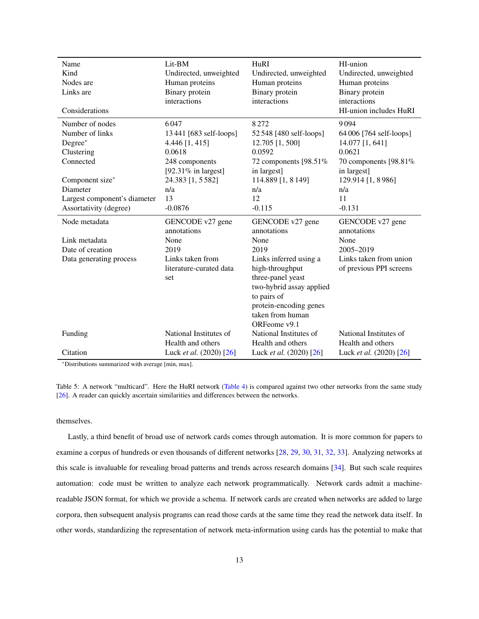<span id="page-12-1"></span><span id="page-12-0"></span>

| Name                         | Lit-BM                  | HuRI                      | HI-union                  |
|------------------------------|-------------------------|---------------------------|---------------------------|
| Kind                         | Undirected, unweighted  | Undirected, unweighted    | Undirected, unweighted    |
| Nodes are                    | Human proteins          | Human proteins            | Human proteins            |
| Links are                    | Binary protein          | Binary protein            | Binary protein            |
|                              | interactions            | interactions              | interactions              |
| Considerations               |                         |                           | HI-union includes HuRI    |
| Number of nodes              | 6047                    | 8272                      | 9094                      |
| Number of links              | 13 441 [683 self-loops] | 52 548 [480 self-loops]   | 64 006 [764 self-loops]   |
| Degree*                      | 4.446 [1, 415]          | 12.705 [1, 500]           | 14.077 [1, 641]           |
| Clustering                   | 0.0618                  | 0.0592                    | 0.0621                    |
| Connected                    | 248 components          | 72 components $[98.51\%]$ | 70 components $[98.81\%]$ |
|                              | [92.31 $%$ in largest]  | in largest]               | in largest]               |
| Component size*              | 24.383 [1, 5582]        | 114.889 [1, 8 149]        | 129.914 [1, 8 986]        |
| Diameter                     | n/a                     | n/a                       | n/a                       |
| Largest component's diameter | 13                      | 12                        | 11                        |
| Assortativity (degree)       | $-0.0876$               | $-0.115$                  | $-0.131$                  |
| Node metadata                | GENCODE v27 gene        | GENCODE v27 gene          | GENCODE v27 gene          |
|                              | annotations             | annotations               | annotations               |
| Link metadata                | None                    | None                      | None                      |
| Date of creation             | 2019                    | 2019                      | 2005-2019                 |
| Data generating process      | Links taken from        | Links inferred using a    | Links taken from union    |
|                              | literature-curated data | high-throughput           | of previous PPI screens   |
|                              | set                     | three-panel yeast         |                           |
|                              |                         | two-hybrid assay applied  |                           |
|                              |                         | to pairs of               |                           |
|                              |                         | protein-encoding genes    |                           |
|                              |                         | taken from human          |                           |
|                              |                         | ORFeome v9.1              |                           |
| Funding                      | National Institutes of  | National Institutes of    | National Institutes of    |
|                              | Health and others       | Health and others         | Health and others         |
| Citation                     | Luck et al. (2020) [26] | Luck et al. (2020) [26]   | Luck et al. (2020) [26]   |

Table 5: A network "multicard". Here the HuRI network [\(Table 4\)](#page-11-0) is compared against two other networks from the same study [\[26\]](#page-15-12). A reader can quickly ascertain similarities and differences between the networks.

#### themselves.

Lastly, a third benefit of broad use of network cards comes through automation. It is more common for papers to examine a corpus of hundreds or even thousands of different networks [\[28,](#page-16-1) [29,](#page-16-2) [30,](#page-16-3) [31,](#page-16-4) [32,](#page-16-5) [33\]](#page-16-6). Analyzing networks at this scale is invaluable for revealing broad patterns and trends across research domains [\[34\]](#page-16-7). But such scale requires automation: code must be written to analyze each network programmatically. Network cards admit a machinereadable JSON format, for which we provide a schema. If network cards are created when networks are added to large corpora, then subsequent analysis programs can read those cards at the same time they read the network data itself. In other words, standardizing the representation of network meta-information using cards has the potential to make that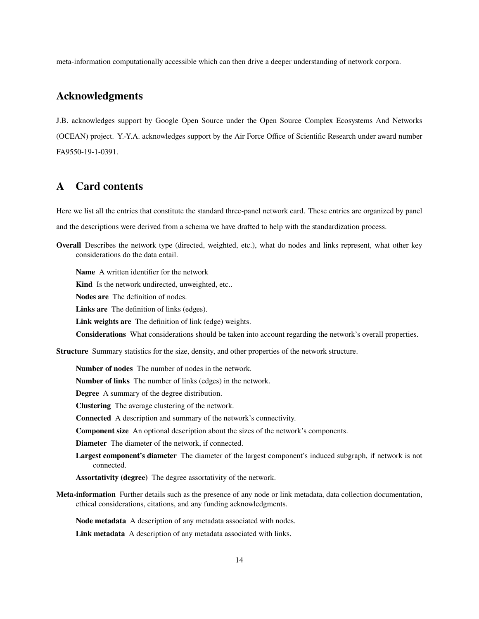meta-information computationally accessible which can then drive a deeper understanding of network corpora.

# **Acknowledgments**

J.B. acknowledges support by Google Open Source under the Open Source Complex Ecosystems And Networks (OCEAN) project. Y.-Y.A. acknowledges support by the Air Force Office of Scientific Research under award number FA9550-19-1-0391.

## <span id="page-13-0"></span>**A Card contents**

Here we list all the entries that constitute the standard three-panel network card. These entries are organized by panel and the descriptions were derived from a schema we have drafted to help with the standardization process.

**Overall** Describes the network type (directed, weighted, etc.), what do nodes and links represent, what other key considerations do the data entail.

**Name** A written identifier for the network

**Kind** Is the network undirected, unweighted, etc..

**Nodes are** The definition of nodes.

**Links are** The definition of links (edges).

**Link weights are** The definition of link (edge) weights.

**Considerations** What considerations should be taken into account regarding the network's overall properties.

**Structure** Summary statistics for the size, density, and other properties of the network structure.

**Number of nodes** The number of nodes in the network.

**Number of links** The number of links (edges) in the network.

**Degree** A summary of the degree distribution.

**Clustering** The average clustering of the network.

**Connected** A description and summary of the network's connectivity.

**Component size** An optional description about the sizes of the network's components.

**Diameter** The diameter of the network, if connected.

**Largest component's diameter** The diameter of the largest component's induced subgraph, if network is not connected.

**Assortativity (degree)** The degree assortativity of the network.

**Meta-information** Further details such as the presence of any node or link metadata, data collection documentation, ethical considerations, citations, and any funding acknowledgments.

**Node metadata** A description of any metadata associated with nodes.

**Link metadata** A description of any metadata associated with links.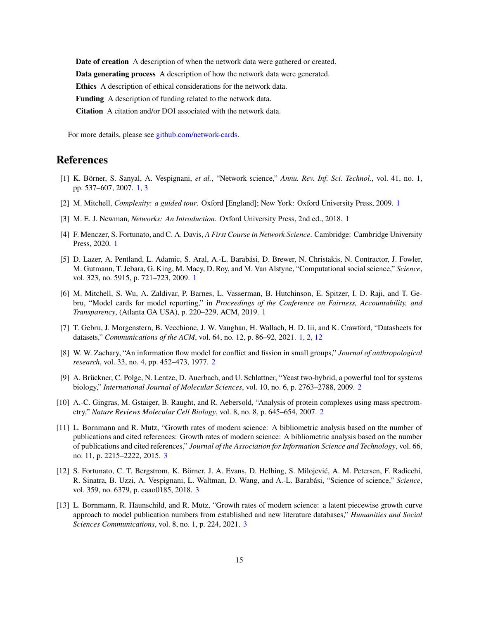**Date of creation** A description of when the network data were gathered or created. **Data generating process** A description of how the network data were generated. **Ethics** A description of ethical considerations for the network data. **Funding** A description of funding related to the network data. **Citation** A citation and/or DOI associated with the network data.

For more details, please see [github.com/network-cards.](https://github.com/network-cards/network-cards)

## **References**

- <span id="page-14-0"></span>[1] K. Börner, S. Sanyal, A. Vespignani, *et al.*, "Network science," *Annu. Rev. Inf. Sci. Technol.*, vol. 41, no. 1, pp. 537–607, 2007. [1,](#page-0-0) [3](#page-2-1)
- <span id="page-14-1"></span>[2] M. Mitchell, *Complexity: a guided tour*. Oxford [England]; New York: Oxford University Press, 2009. [1](#page-0-0)
- <span id="page-14-2"></span>[3] M. E. J. Newman, *Networks: An Introduction*. Oxford University Press, 2nd ed., 2018. [1](#page-0-0)
- <span id="page-14-3"></span>[4] F. Menczer, S. Fortunato, and C. A. Davis, *A First Course in Network Science*. Cambridge: Cambridge University Press, 2020. [1](#page-0-0)
- <span id="page-14-4"></span>[5] D. Lazer, A. Pentland, L. Adamic, S. Aral, A.-L. Barabási, D. Brewer, N. Christakis, N. Contractor, J. Fowler, M. Gutmann, T. Jebara, G. King, M. Macy, D. Roy, and M. Van Alstyne, "Computational social science," *Science*, vol. 323, no. 5915, p. 721–723, 2009. [1](#page-0-0)
- <span id="page-14-5"></span>[6] M. Mitchell, S. Wu, A. Zaldivar, P. Barnes, L. Vasserman, B. Hutchinson, E. Spitzer, I. D. Raji, and T. Gebru, "Model cards for model reporting," in *Proceedings of the Conference on Fairness, Accountability, and Transparency*, (Atlanta GA USA), p. 220–229, ACM, 2019. [1](#page-0-0)
- <span id="page-14-6"></span>[7] T. Gebru, J. Morgenstern, B. Vecchione, J. W. Vaughan, H. Wallach, H. D. Iii, and K. Crawford, "Datasheets for datasets," *Communications of the ACM*, vol. 64, no. 12, p. 86–92, 2021. [1,](#page-0-0) [2,](#page-1-1) [12](#page-11-1)
- <span id="page-14-7"></span>[8] W. W. Zachary, "An information flow model for conflict and fission in small groups," *Journal of anthropological research*, vol. 33, no. 4, pp. 452–473, 1977. [2](#page-1-1)
- <span id="page-14-8"></span>[9] A. Brückner, C. Polge, N. Lentze, D. Auerbach, and U. Schlattner, "Yeast two-hybrid, a powerful tool for systems biology," *International Journal of Molecular Sciences*, vol. 10, no. 6, p. 2763–2788, 2009. [2](#page-1-1)
- <span id="page-14-9"></span>[10] A.-C. Gingras, M. Gstaiger, B. Raught, and R. Aebersold, "Analysis of protein complexes using mass spectrometry," *Nature Reviews Molecular Cell Biology*, vol. 8, no. 8, p. 645–654, 2007. [2](#page-1-1)
- <span id="page-14-10"></span>[11] L. Bornmann and R. Mutz, "Growth rates of modern science: A bibliometric analysis based on the number of publications and cited references: Growth rates of modern science: A bibliometric analysis based on the number of publications and cited references," *Journal of the Association for Information Science and Technology*, vol. 66, no. 11, p. 2215–2222, 2015. [3](#page-2-1)
- <span id="page-14-11"></span>[12] S. Fortunato, C. T. Bergstrom, K. Börner, J. A. Evans, D. Helbing, S. Milojević, A. M. Petersen, F. Radicchi, R. Sinatra, B. Uzzi, A. Vespignani, L. Waltman, D. Wang, and A.-L. Barabási, "Science of science," *Science*, vol. 359, no. 6379, p. eaao0185, 2018. [3](#page-2-1)
- <span id="page-14-12"></span>[13] L. Bornmann, R. Haunschild, and R. Mutz, "Growth rates of modern science: a latent piecewise growth curve approach to model publication numbers from established and new literature databases," *Humanities and Social Sciences Communications*, vol. 8, no. 1, p. 224, 2021. [3](#page-2-1)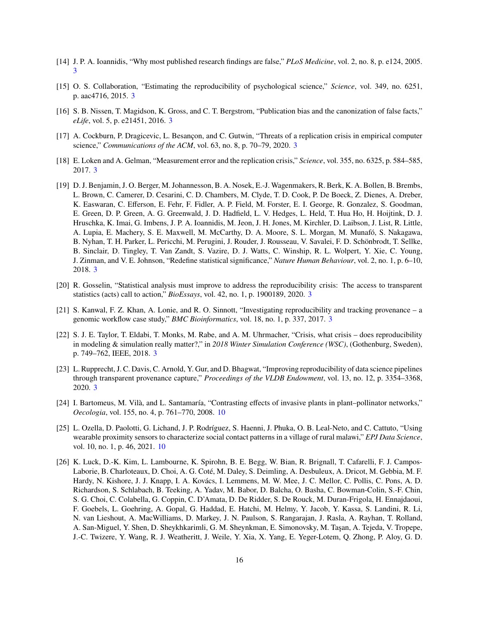- <span id="page-15-0"></span>[14] J. P. A. Ioannidis, "Why most published research findings are false," *PLoS Medicine*, vol. 2, no. 8, p. e124, 2005. [3](#page-2-1)
- <span id="page-15-1"></span>[15] O. S. Collaboration, "Estimating the reproducibility of psychological science," *Science*, vol. 349, no. 6251, p. aac4716, 2015. [3](#page-2-1)
- <span id="page-15-2"></span>[16] S. B. Nissen, T. Magidson, K. Gross, and C. T. Bergstrom, "Publication bias and the canonization of false facts," *eLife*, vol. 5, p. e21451, 2016. [3](#page-2-1)
- <span id="page-15-3"></span>[17] A. Cockburn, P. Dragicevic, L. Besançon, and C. Gutwin, "Threats of a replication crisis in empirical computer science," *Communications of the ACM*, vol. 63, no. 8, p. 70–79, 2020. [3](#page-2-1)
- <span id="page-15-4"></span>[18] E. Loken and A. Gelman, "Measurement error and the replication crisis," *Science*, vol. 355, no. 6325, p. 584–585, 2017. [3](#page-2-1)
- <span id="page-15-5"></span>[19] D. J. Benjamin, J. O. Berger, M. Johannesson, B. A. Nosek, E.-J. Wagenmakers, R. Berk, K. A. Bollen, B. Brembs, L. Brown, C. Camerer, D. Cesarini, C. D. Chambers, M. Clyde, T. D. Cook, P. De Boeck, Z. Dienes, A. Dreber, K. Easwaran, C. Efferson, E. Fehr, F. Fidler, A. P. Field, M. Forster, E. I. George, R. Gonzalez, S. Goodman, E. Green, D. P. Green, A. G. Greenwald, J. D. Hadfield, L. V. Hedges, L. Held, T. Hua Ho, H. Hoijtink, D. J. Hruschka, K. Imai, G. Imbens, J. P. A. Ioannidis, M. Jeon, J. H. Jones, M. Kirchler, D. Laibson, J. List, R. Little, A. Lupia, E. Machery, S. E. Maxwell, M. McCarthy, D. A. Moore, S. L. Morgan, M. Munafó, S. Nakagawa, B. Nyhan, T. H. Parker, L. Pericchi, M. Perugini, J. Rouder, J. Rousseau, V. Savalei, F. D. Schönbrodt, T. Sellke, B. Sinclair, D. Tingley, T. Van Zandt, S. Vazire, D. J. Watts, C. Winship, R. L. Wolpert, Y. Xie, C. Young, J. Zinman, and V. E. Johnson, "Redefine statistical significance," *Nature Human Behaviour*, vol. 2, no. 1, p. 6–10, 2018. [3](#page-2-1)
- <span id="page-15-6"></span>[20] R. Gosselin, "Statistical analysis must improve to address the reproducibility crisis: The access to transparent statistics (acts) call to action," *BioEssays*, vol. 42, no. 1, p. 1900189, 2020. [3](#page-2-1)
- <span id="page-15-7"></span>[21] S. Kanwal, F. Z. Khan, A. Lonie, and R. O. Sinnott, "Investigating reproducibility and tracking provenance – a genomic workflow case study," *BMC Bioinformatics*, vol. 18, no. 1, p. 337, 2017. [3](#page-2-1)
- <span id="page-15-8"></span>[22] S. J. E. Taylor, T. Eldabi, T. Monks, M. Rabe, and A. M. Uhrmacher, "Crisis, what crisis – does reproducibility in modeling & simulation really matter?," in *2018 Winter Simulation Conference (WSC)*, (Gothenburg, Sweden), p. 749–762, IEEE, 2018. [3](#page-2-1)
- <span id="page-15-9"></span>[23] L. Rupprecht, J. C. Davis, C. Arnold, Y. Gur, and D. Bhagwat, "Improving reproducibility of data science pipelines through transparent provenance capture," *Proceedings of the VLDB Endowment*, vol. 13, no. 12, p. 3354–3368, 2020. [3](#page-2-1)
- <span id="page-15-10"></span>[24] I. Bartomeus, M. Vilà, and L. Santamaría, "Contrasting effects of invasive plants in plant–pollinator networks," *Oecologia*, vol. 155, no. 4, p. 761–770, 2008. [10](#page-9-1)
- <span id="page-15-11"></span>[25] L. Ozella, D. Paolotti, G. Lichand, J. P. Rodríguez, S. Haenni, J. Phuka, O. B. Leal-Neto, and C. Cattuto, "Using wearable proximity sensors to characterize social contact patterns in a village of rural malawi," *EPJ Data Science*, vol. 10, no. 1, p. 46, 2021. [10](#page-9-1)
- <span id="page-15-12"></span>[26] K. Luck, D.-K. Kim, L. Lambourne, K. Spirohn, B. E. Begg, W. Bian, R. Brignall, T. Cafarelli, F. J. Campos-Laborie, B. Charloteaux, D. Choi, A. G. Coté, M. Daley, S. Deimling, A. Desbuleux, A. Dricot, M. Gebbia, M. F. Hardy, N. Kishore, J. J. Knapp, I. A. Kovács, I. Lemmens, M. W. Mee, J. C. Mellor, C. Pollis, C. Pons, A. D. Richardson, S. Schlabach, B. Teeking, A. Yadav, M. Babor, D. Balcha, O. Basha, C. Bowman-Colin, S.-F. Chin, S. G. Choi, C. Colabella, G. Coppin, C. D'Amata, D. De Ridder, S. De Rouck, M. Duran-Frigola, H. Ennajdaoui, F. Goebels, L. Goehring, A. Gopal, G. Haddad, E. Hatchi, M. Helmy, Y. Jacob, Y. Kassa, S. Landini, R. Li, N. van Lieshout, A. MacWilliams, D. Markey, J. N. Paulson, S. Rangarajan, J. Rasla, A. Rayhan, T. Rolland, A. San-Miguel, Y. Shen, D. Sheykhkarimli, G. M. Sheynkman, E. Simonovsky, M. Taşan, A. Tejeda, V. Tropepe, J.-C. Twizere, Y. Wang, R. J. Weatheritt, J. Weile, Y. Xia, X. Yang, E. Yeger-Lotem, Q. Zhong, P. Aloy, G. D.